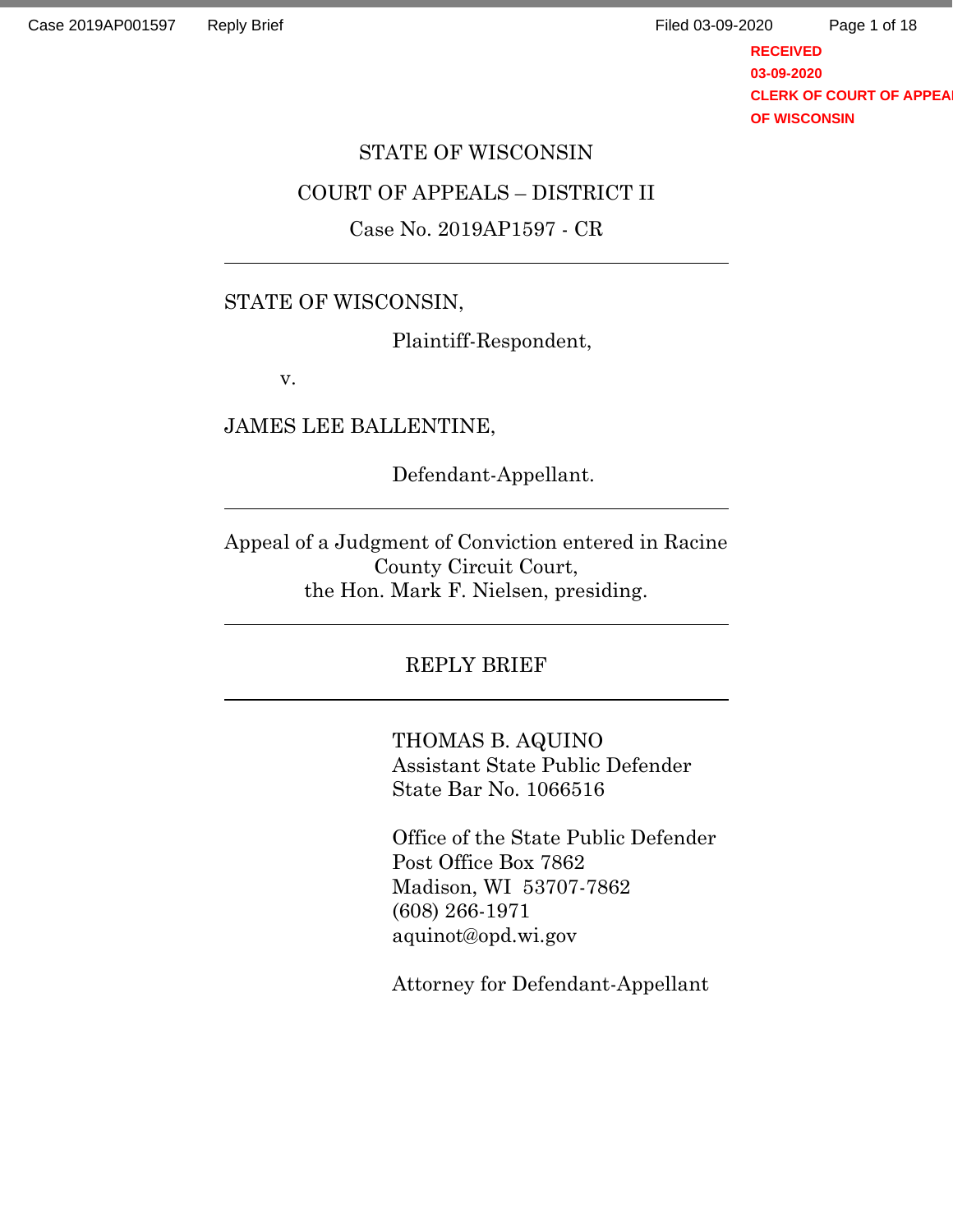**RECEIVED 03-09-2020 CLERK OF COURT OF APPEA OF WISCONSIN** Page 1 of 18

# STATE OF WISCONSIN COURT OF APPEALS – DISTRICT II

### Case No. 2019AP1597 - CR

### STATE OF WISCONSIN,

Plaintiff-Respondent,

v.

JAMES LEE BALLENTINE,

Defendant-Appellant.

Appeal of a Judgment of Conviction entered in Racine County Circuit Court, the Hon. Mark F. Nielsen, presiding.

### REPLY BRIEF

THOMAS B. AQUINO Assistant State Public Defender State Bar No. 1066516

Office of the State Public Defender Post Office Box 7862 Madison, WI 53707-7862 (608) 266-1971 aquinot@opd.wi.gov

Attorney for Defendant-Appellant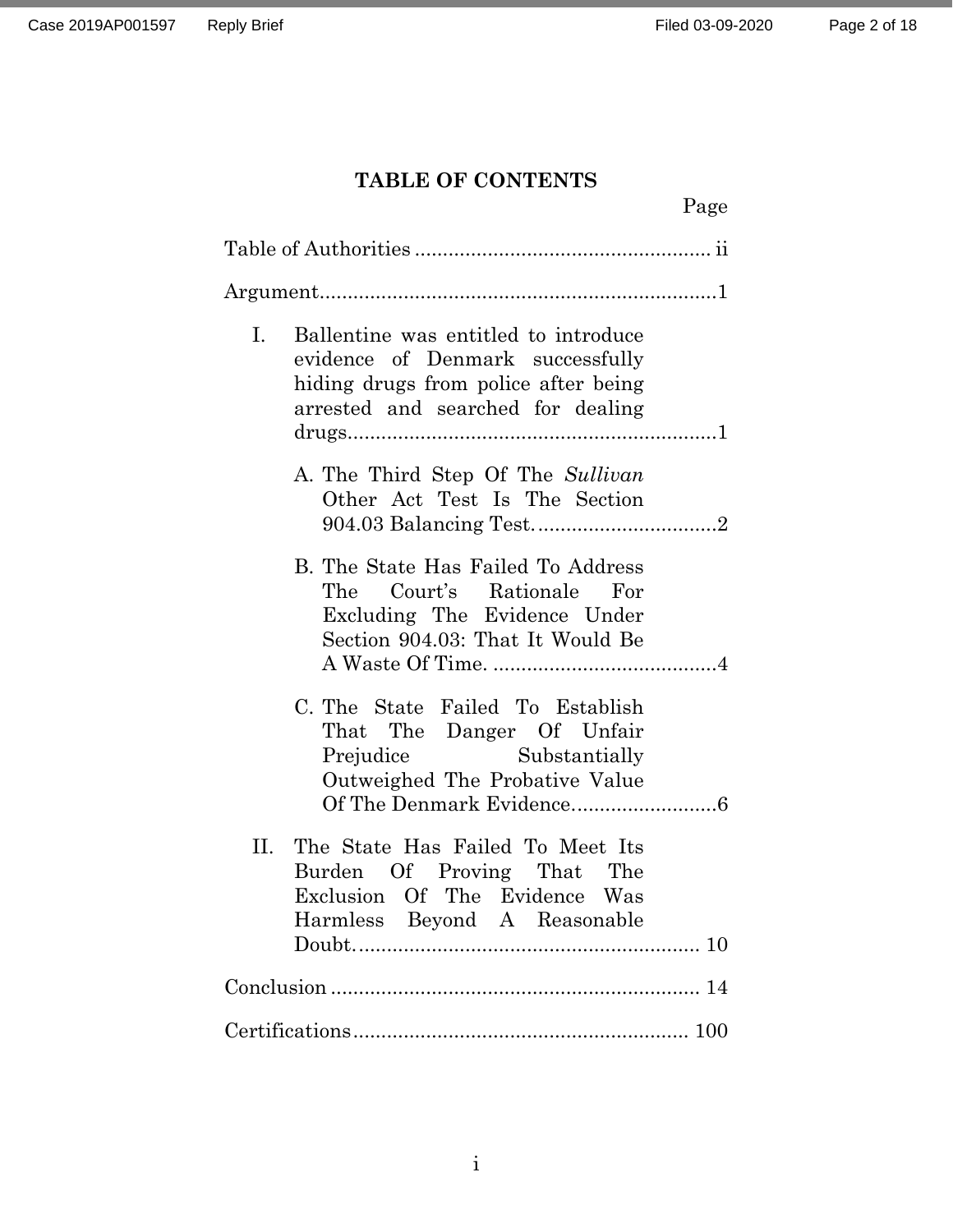## **TABLE OF CONTENTS**

|    |                                                                                                                                                       | Page |
|----|-------------------------------------------------------------------------------------------------------------------------------------------------------|------|
|    |                                                                                                                                                       |      |
|    |                                                                                                                                                       |      |
| I. | Ballentine was entitled to introduce<br>evidence of Denmark successfully<br>hiding drugs from police after being<br>arrested and searched for dealing |      |
|    | A. The Third Step Of The Sullivan<br>Other Act Test Is The Section                                                                                    |      |
|    | B. The State Has Failed To Address<br>The Court's Rationale For<br>Excluding The Evidence Under<br>Section 904.03: That It Would Be                   |      |
|    | C. The State Failed To Establish<br>That The Danger Of Unfair<br>Prejudice Substantially<br>Outweighed The Probative Value                            |      |
|    | II. The State Has Failed To Meet Its<br>Burden Of Proving That The<br>Exclusion Of The Evidence Was<br>Harmless Beyond A Reasonable                   |      |
|    |                                                                                                                                                       |      |
|    |                                                                                                                                                       |      |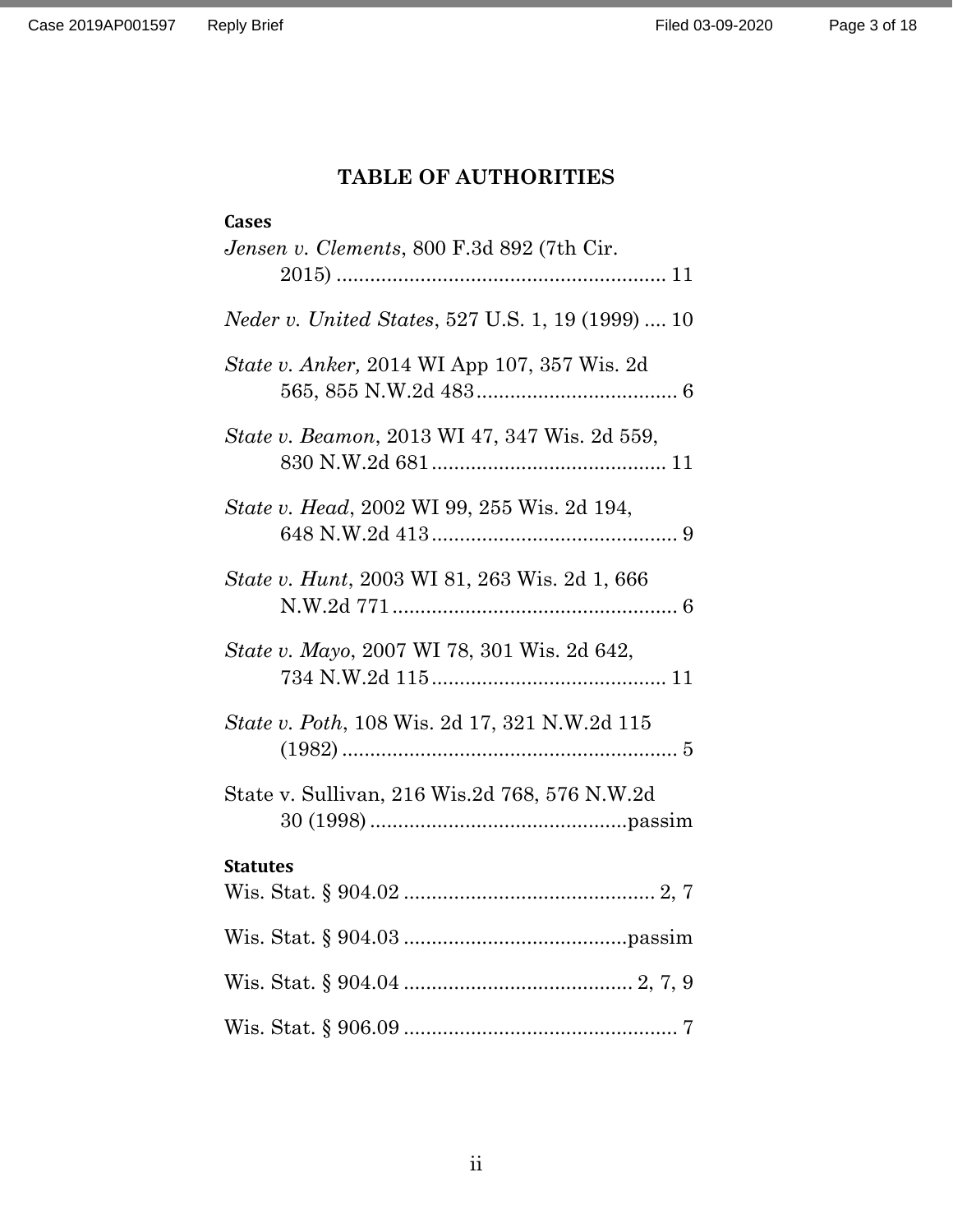# **TABLE OF AUTHORITIES**

## <span id="page-2-0"></span>**Cases**

| Jensen v. Clements, 800 F.3d 892 (7th Cir.               |
|----------------------------------------------------------|
| <i>Neder v. United States, 527 U.S. 1, 19 (1999)  10</i> |
| State v. Anker, 2014 WI App 107, 357 Wis. 2d             |
| <i>State v. Beamon, 2013 WI 47, 347 Wis. 2d 559,</i>     |
| State v. Head, 2002 WI 99, 255 Wis. 2d 194,              |
| State v. Hunt, 2003 WI 81, 263 Wis. 2d 1, 666            |
| <i>State v. Mayo, 2007 WI 78, 301 Wis. 2d 642,</i>       |
| <i>State v. Poth, 108 Wis. 2d 17, 321 N.W.2d 115</i>     |
| State v. Sullivan, 216 Wis.2d 768, 576 N.W.2d            |
| <b>Statutes</b>                                          |
|                                                          |
|                                                          |
|                                                          |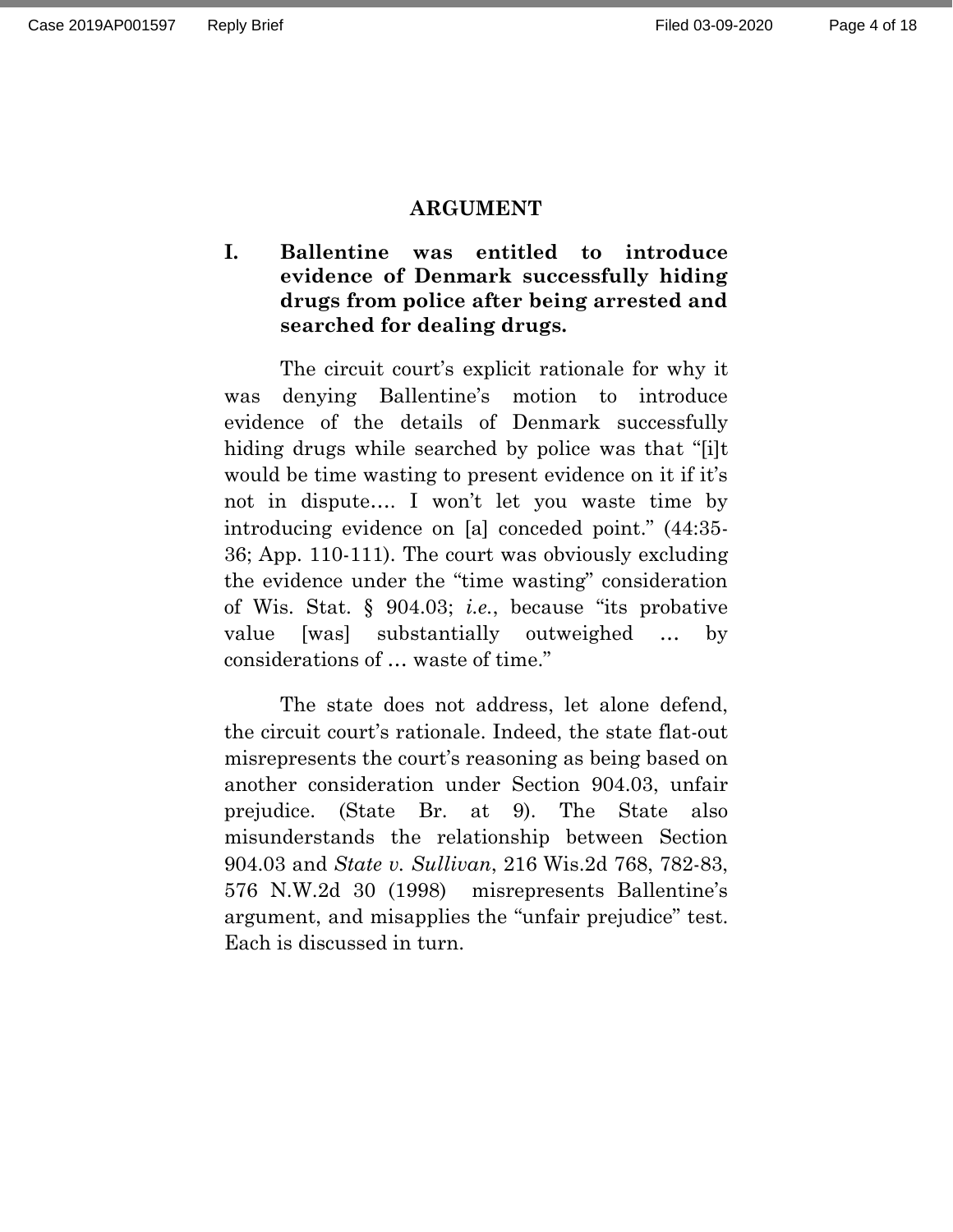#### **ARGUMENT**

## <span id="page-3-1"></span><span id="page-3-0"></span>**I. Ballentine was entitled to introduce evidence of Denmark successfully hiding drugs from police after being arrested and searched for dealing drugs.**

The circuit court's explicit rationale for why it was denying Ballentine's motion to introduce evidence of the details of Denmark successfully hiding drugs while searched by police was that "[i]t would be time wasting to present evidence on it if it's not in dispute…. I won't let you waste time by introducing evidence on [a] conceded point." (44:35- 36; App. 110-111). The court was obviously excluding the evidence under the "time wasting" consideration of Wis. Stat. § 904.03; *i.e.*, because "its probative value [was] substantially outweighed … by considerations of … waste of time."

The state does not address, let alone defend, the circuit court's rationale. Indeed, the state flat-out misrepresents the court's reasoning as being based on another consideration under Section 904.03, unfair prejudice. (State Br. at 9). The State also misunderstands the relationship between Section 904.03 and *State v. Sullivan*, 216 Wis.2d 768, 782-83, 576 N.W.2d 30 (1998) misrepresents Ballentine's argument, and misapplies the "unfair prejudice" test. Each is discussed in turn.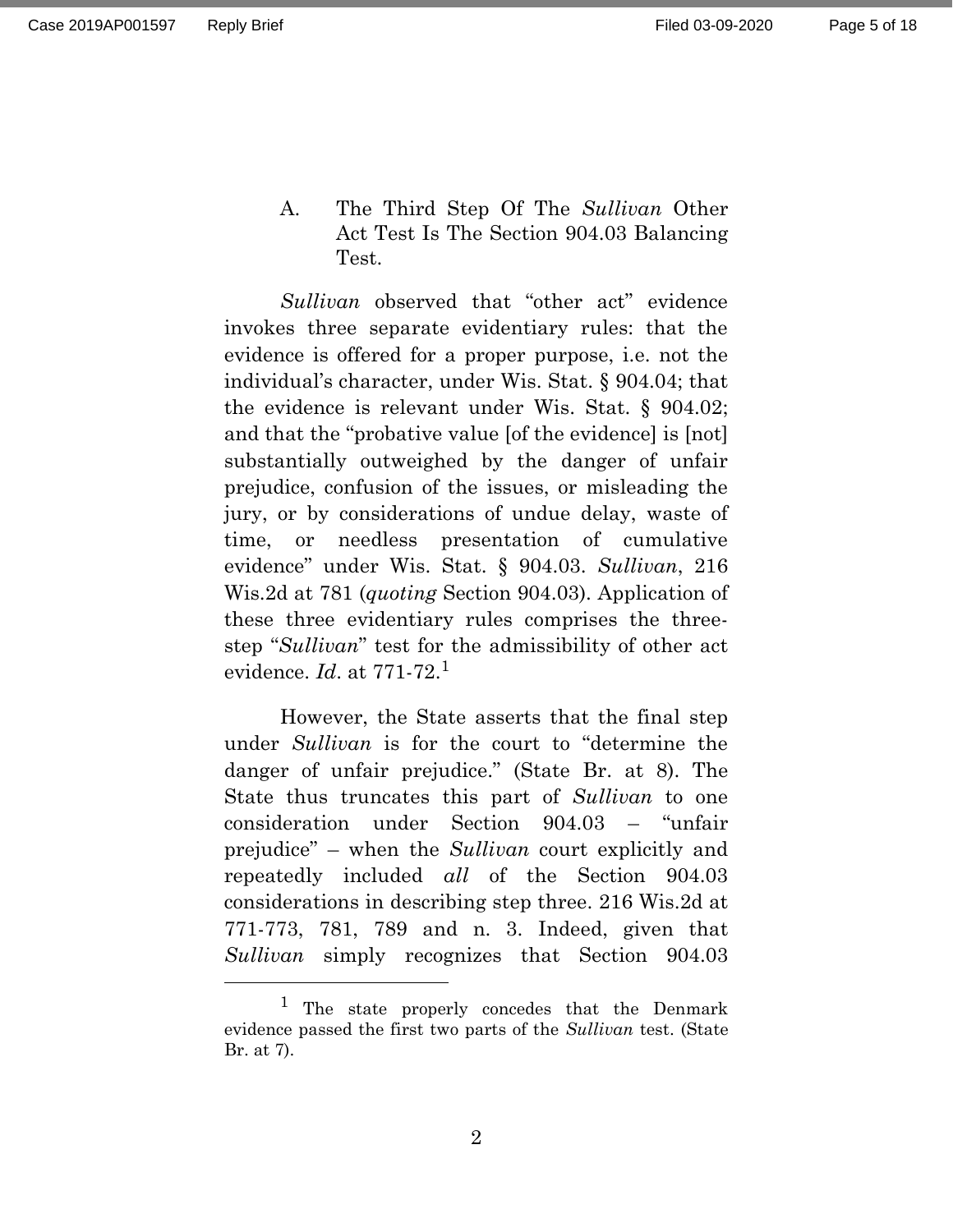<span id="page-4-0"></span>A. The Third Step Of The *Sullivan* Other Act Test Is The Section 904.03 Balancing Test.

*Sullivan* observed that "other act" evidence invokes three separate evidentiary rules: that the evidence is offered for a proper purpose, i.e. not the individual's character, under Wis. Stat. § 904.04; that the evidence is relevant under Wis. Stat. § 904.02; and that the "probative value [of the evidence] is [not] substantially outweighed by the danger of unfair prejudice, confusion of the issues, or misleading the jury, or by considerations of undue delay, waste of time, or needless presentation of cumulative evidence" under Wis. Stat. § 904.03. *Sullivan*, 216 Wis.2d at 781 (*quoting* Section 904.03). Application of these three evidentiary rules comprises the threestep "*Sullivan*" test for the admissibility of other act evidence. *Id*. at 771-72.<sup>1</sup>

However, the State asserts that the final step under *Sullivan* is for the court to "determine the danger of unfair prejudice." (State Br. at 8). The State thus truncates this part of *Sullivan* to one consideration under Section 904.03 – "unfair prejudice" – when the *Sullivan* court explicitly and repeatedly included *all* of the Section 904.03 considerations in describing step three. 216 Wis.2d at 771-773, 781, 789 and n. 3. Indeed, given that *Sullivan* simply recognizes that Section 904.03

<sup>1</sup> The state properly concedes that the Denmark evidence passed the first two parts of the *Sullivan* test. (State Br. at 7).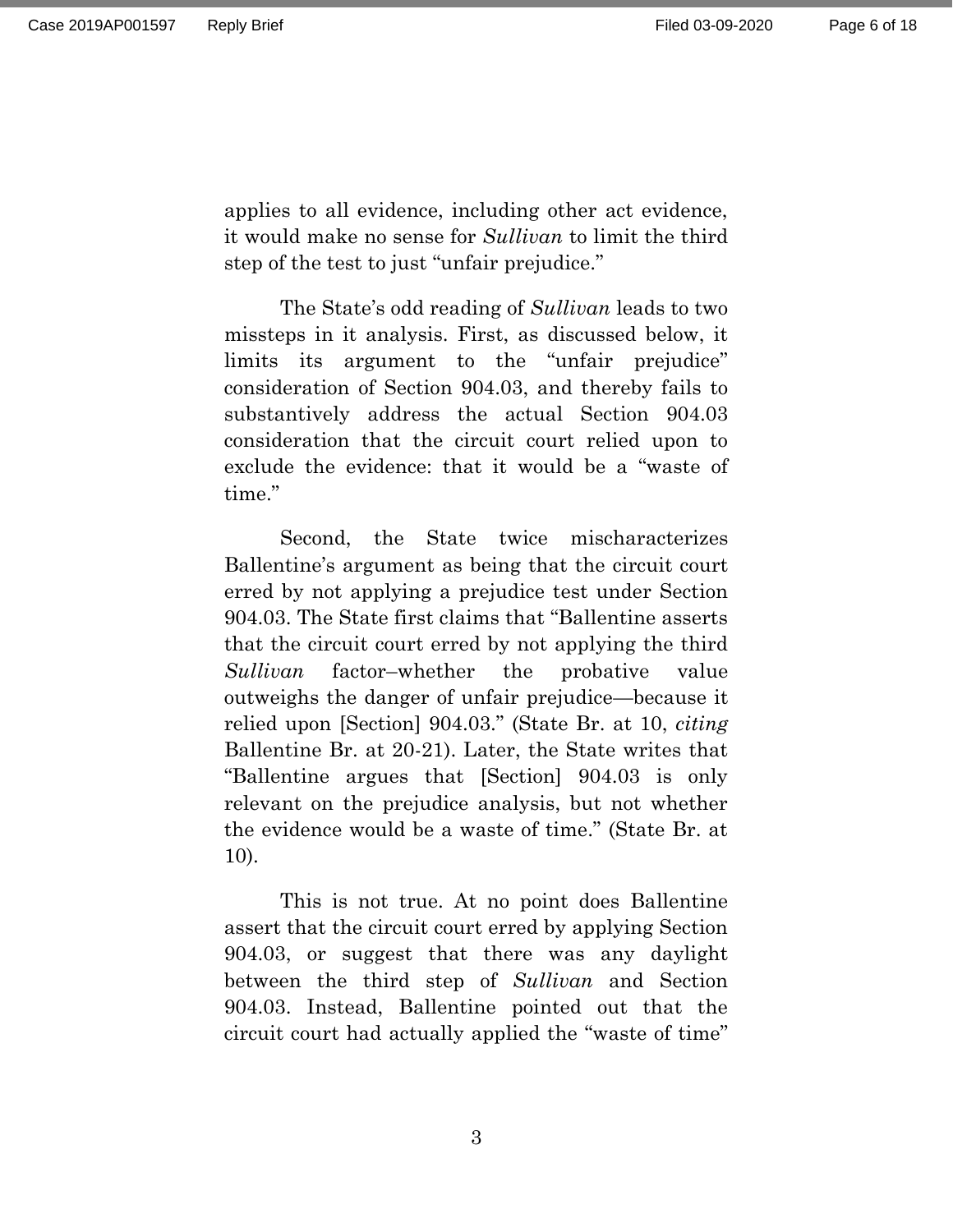applies to all evidence, including other act evidence, it would make no sense for *Sullivan* to limit the third step of the test to just "unfair prejudice."

The State's odd reading of *Sullivan* leads to two missteps in it analysis. First, as discussed below, it limits its argument to the "unfair prejudice" consideration of Section 904.03, and thereby fails to substantively address the actual Section 904.03 consideration that the circuit court relied upon to exclude the evidence: that it would be a "waste of time."

Second, the State twice mischaracterizes Ballentine's argument as being that the circuit court erred by not applying a prejudice test under Section 904.03. The State first claims that "Ballentine asserts that the circuit court erred by not applying the third *Sullivan* factor–whether the probative value outweighs the danger of unfair prejudice—because it relied upon [Section] 904.03." (State Br. at 10, *citing* Ballentine Br. at 20-21). Later, the State writes that "Ballentine argues that [Section] 904.03 is only relevant on the prejudice analysis, but not whether the evidence would be a waste of time." (State Br. at 10).

This is not true. At no point does Ballentine assert that the circuit court erred by applying Section 904.03, or suggest that there was any daylight between the third step of *Sullivan* and Section 904.03. Instead, Ballentine pointed out that the circuit court had actually applied the "waste of time"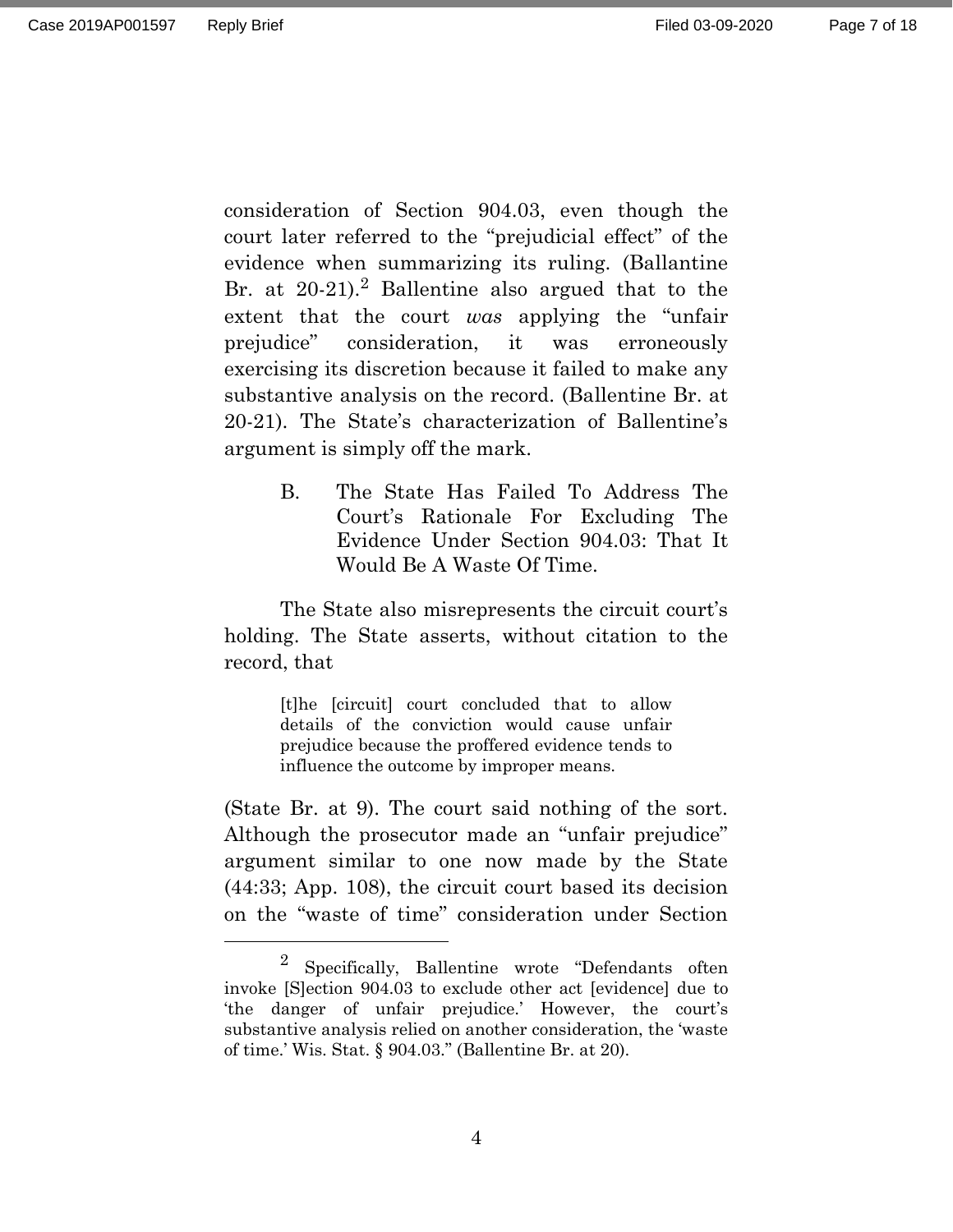Page 7 of 18

consideration of Section 904.03, even though the court later referred to the "prejudicial effect" of the evidence when summarizing its ruling. (Ballantine Br. at  $20-21$ .<sup>2</sup> Ballentine also argued that to the extent that the court *was* applying the "unfair prejudice" consideration, it was erroneously exercising its discretion because it failed to make any substantive analysis on the record. (Ballentine Br. at 20-21). The State's characterization of Ballentine's argument is simply off the mark.

> <span id="page-6-0"></span>B. The State Has Failed To Address The Court's Rationale For Excluding The Evidence Under Section 904.03: That It Would Be A Waste Of Time.

The State also misrepresents the circuit court's holding. The State asserts, without citation to the record, that

> [t]he [circuit] court concluded that to allow details of the conviction would cause unfair prejudice because the proffered evidence tends to influence the outcome by improper means.

(State Br. at 9). The court said nothing of the sort. Although the prosecutor made an "unfair prejudice" argument similar to one now made by the State (44:33; App. 108), the circuit court based its decision on the "waste of time" consideration under Section

<sup>2</sup> Specifically, Ballentine wrote "Defendants often invoke [S]ection 904.03 to exclude other act [evidence] due to 'the danger of unfair prejudice.' However, the court's substantive analysis relied on another consideration, the 'waste of time.' Wis. Stat. § 904.03." (Ballentine Br. at 20).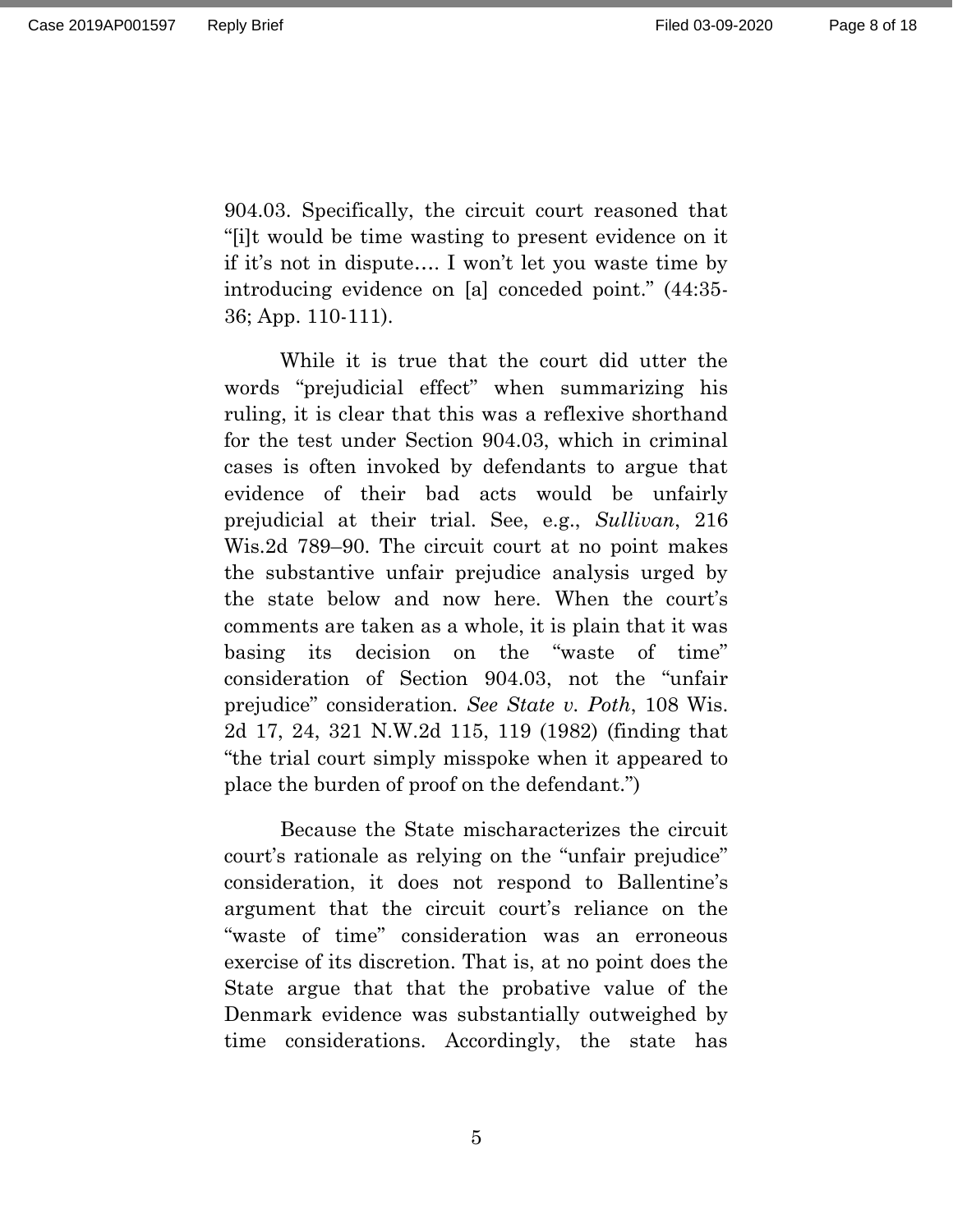904.03. Specifically, the circuit court reasoned that "[i]t would be time wasting to present evidence on it if it's not in dispute…. I won't let you waste time by introducing evidence on [a] conceded point." (44:35- 36; App. 110-111).

While it is true that the court did utter the words "prejudicial effect" when summarizing his ruling, it is clear that this was a reflexive shorthand for the test under Section 904.03, which in criminal cases is often invoked by defendants to argue that evidence of their bad acts would be unfairly prejudicial at their trial. See, e.g., *Sullivan*, 216 Wis.2d 789–90. The circuit court at no point makes the substantive unfair prejudice analysis urged by the state below and now here. When the court's comments are taken as a whole, it is plain that it was basing its decision on the "waste of time" consideration of Section 904.03, not the "unfair prejudice" consideration. *See State v. Poth*, 108 Wis. 2d 17, 24, 321 N.W.2d 115, 119 (1982) (finding that "the trial court simply misspoke when it appeared to place the burden of proof on the defendant.")

Because the State mischaracterizes the circuit court's rationale as relying on the "unfair prejudice" consideration, it does not respond to Ballentine's argument that the circuit court's reliance on the "waste of time" consideration was an erroneous exercise of its discretion. That is, at no point does the State argue that that the probative value of the Denmark evidence was substantially outweighed by time considerations. Accordingly, the state has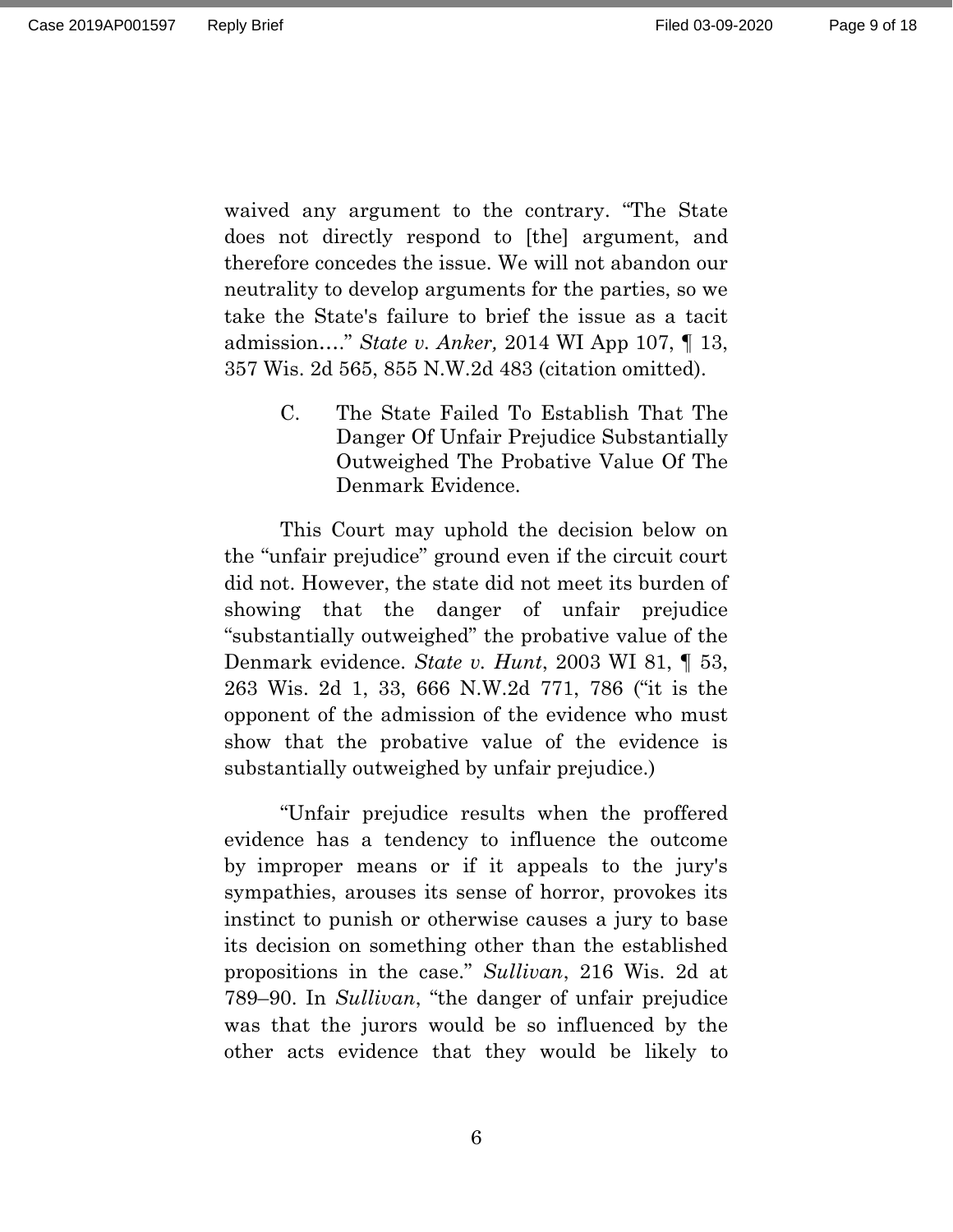waived any argument to the contrary. "The State does not directly respond to [the] argument, and therefore concedes the issue. We will not abandon our neutrality to develop arguments for the parties, so we take the State's failure to brief the issue as a tacit admission…." *State v. Anker,* 2014 WI App 107, ¶ 13, 357 Wis. 2d 565, 855 N.W.2d 483 (citation omitted).

> <span id="page-8-0"></span>C. The State Failed To Establish That The Danger Of Unfair Prejudice Substantially Outweighed The Probative Value Of The Denmark Evidence.

This Court may uphold the decision below on the "unfair prejudice" ground even if the circuit court did not. However, the state did not meet its burden of showing that the danger of unfair prejudice "substantially outweighed" the probative value of the Denmark evidence. *State v. Hunt*, 2003 WI 81, ¶ 53, 263 Wis. 2d 1, 33, 666 N.W.2d 771, 786 ("it is the opponent of the admission of the evidence who must show that the probative value of the evidence is substantially outweighed by unfair prejudice.)

"Unfair prejudice results when the proffered evidence has a tendency to influence the outcome by improper means or if it appeals to the jury's sympathies, arouses its sense of horror, provokes its instinct to punish or otherwise causes a jury to base its decision on something other than the established propositions in the case." *Sullivan*, 216 Wis. 2d at 789–90. In *Sullivan*, "the danger of unfair prejudice was that the jurors would be so influenced by the other acts evidence that they would be likely to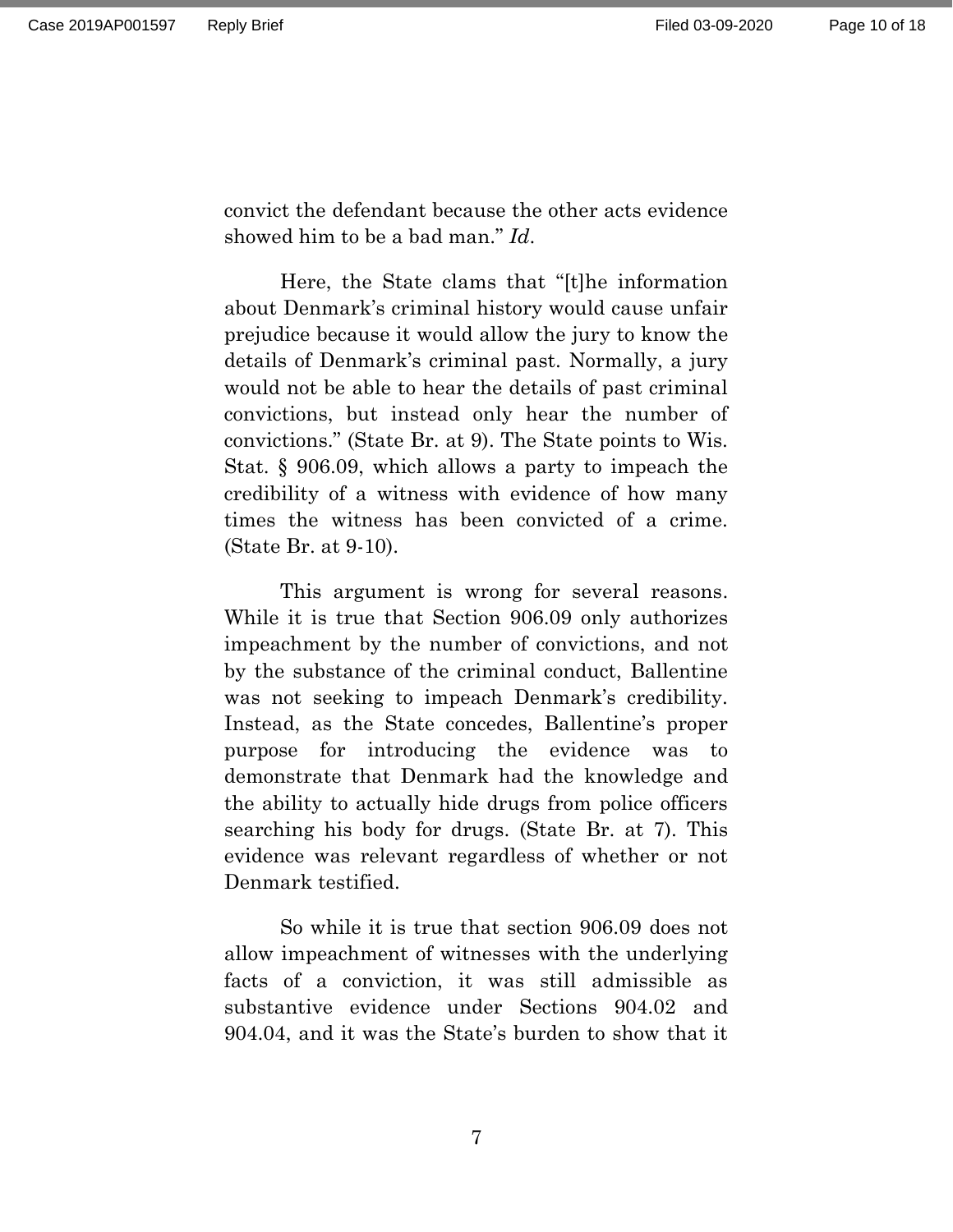convict the defendant because the other acts evidence showed him to be a bad man." *Id*.

Here, the State clams that "[t]he information about Denmark's criminal history would cause unfair prejudice because it would allow the jury to know the details of Denmark's criminal past. Normally, a jury would not be able to hear the details of past criminal convictions, but instead only hear the number of convictions." (State Br. at 9). The State points to Wis. Stat. § 906.09, which allows a party to impeach the credibility of a witness with evidence of how many times the witness has been convicted of a crime. (State Br. at 9-10).

This argument is wrong for several reasons. While it is true that Section 906.09 only authorizes impeachment by the number of convictions, and not by the substance of the criminal conduct, Ballentine was not seeking to impeach Denmark's credibility. Instead, as the State concedes, Ballentine's proper purpose for introducing the evidence was to demonstrate that Denmark had the knowledge and the ability to actually hide drugs from police officers searching his body for drugs. (State Br. at 7). This evidence was relevant regardless of whether or not Denmark testified.

So while it is true that section 906.09 does not allow impeachment of witnesses with the underlying facts of a conviction, it was still admissible as substantive evidence under Sections 904.02 and 904.04, and it was the State's burden to show that it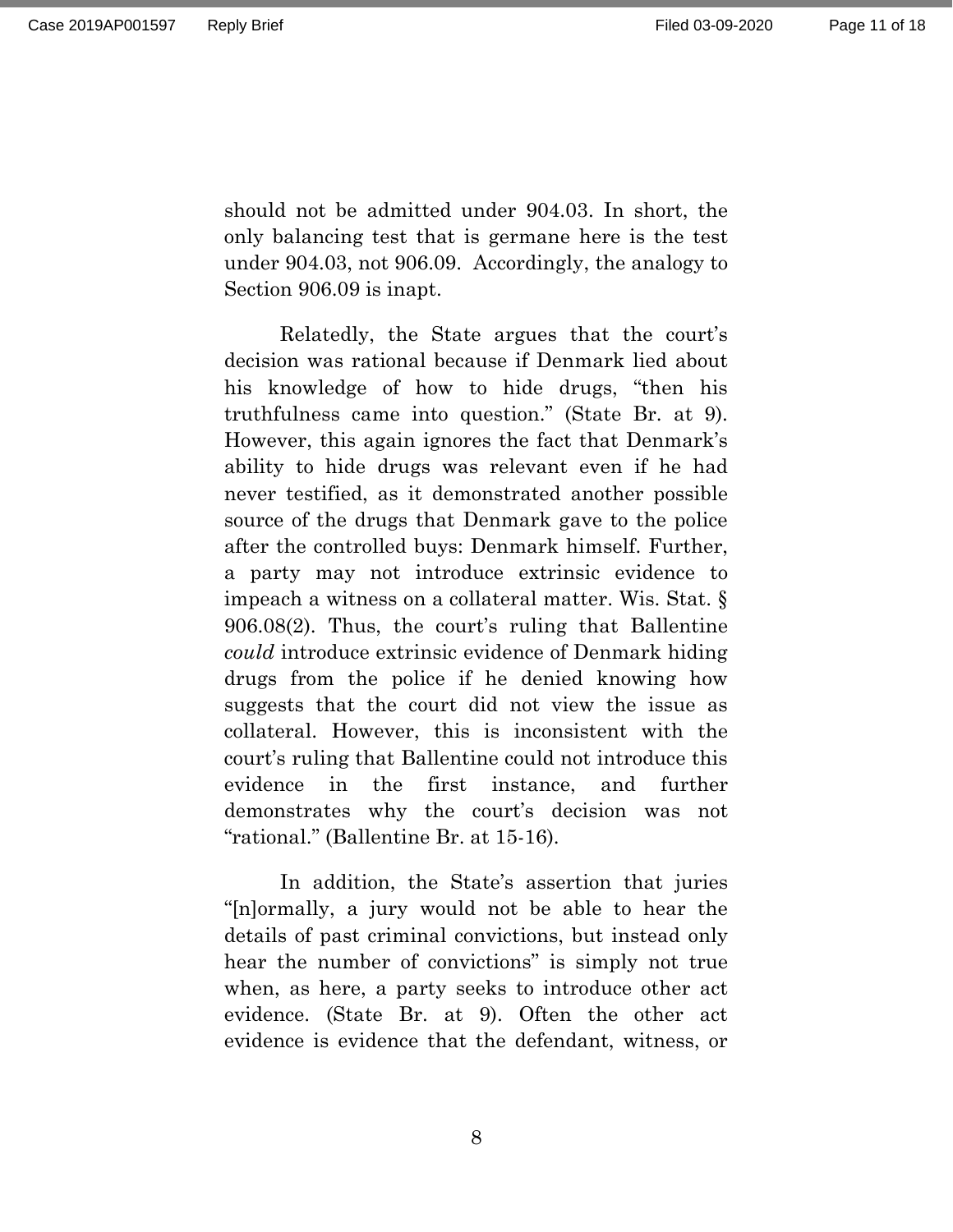should not be admitted under 904.03. In short, the only balancing test that is germane here is the test under 904.03, not 906.09. Accordingly, the analogy to Section 906.09 is inapt.

Relatedly, the State argues that the court's decision was rational because if Denmark lied about his knowledge of how to hide drugs, "then his truthfulness came into question." (State Br. at 9). However, this again ignores the fact that Denmark's ability to hide drugs was relevant even if he had never testified, as it demonstrated another possible source of the drugs that Denmark gave to the police after the controlled buys: Denmark himself. Further, a party may not introduce extrinsic evidence to impeach a witness on a collateral matter. Wis. Stat. § 906.08(2). Thus, the court's ruling that Ballentine *could* introduce extrinsic evidence of Denmark hiding drugs from the police if he denied knowing how suggests that the court did not view the issue as collateral. However, this is inconsistent with the court's ruling that Ballentine could not introduce this evidence in the first instance, and further demonstrates why the court's decision was not "rational." (Ballentine Br. at 15-16).

In addition, the State's assertion that juries "[n]ormally, a jury would not be able to hear the details of past criminal convictions, but instead only hear the number of convictions" is simply not true when, as here, a party seeks to introduce other act evidence. (State Br. at 9). Often the other act evidence is evidence that the defendant, witness, or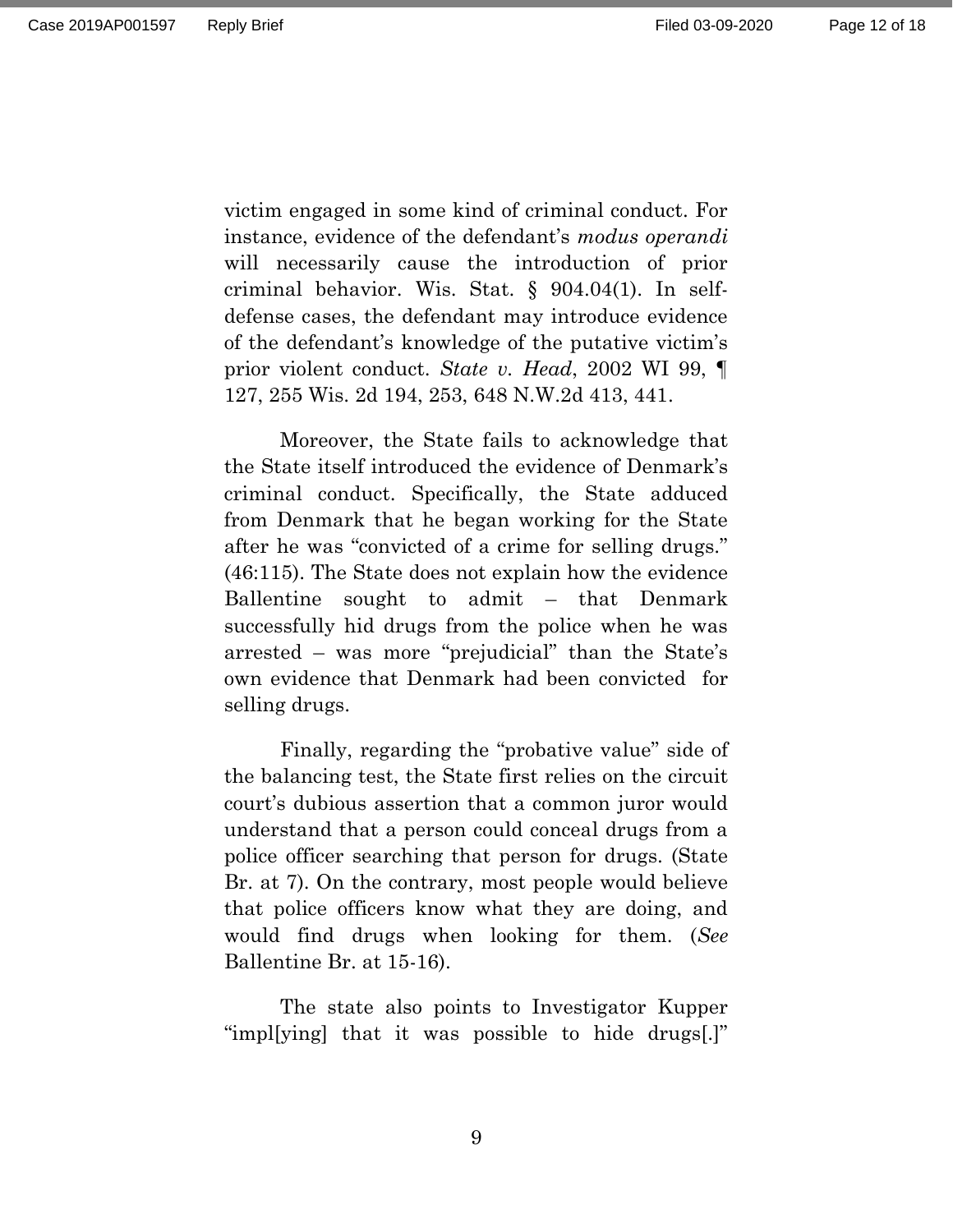victim engaged in some kind of criminal conduct. For instance, evidence of the defendant's *modus operandi* will necessarily cause the introduction of prior criminal behavior. Wis. Stat. § 904.04(1). In selfdefense cases, the defendant may introduce evidence of the defendant's knowledge of the putative victim's prior violent conduct. *State v. Head*, 2002 WI 99, ¶ 127, 255 Wis. 2d 194, 253, 648 N.W.2d 413, 441.

Moreover, the State fails to acknowledge that the State itself introduced the evidence of Denmark's criminal conduct. Specifically, the State adduced from Denmark that he began working for the State after he was "convicted of a crime for selling drugs." (46:115). The State does not explain how the evidence Ballentine sought to admit – that Denmark successfully hid drugs from the police when he was arrested – was more "prejudicial" than the State's own evidence that Denmark had been convicted for selling drugs.

Finally, regarding the "probative value" side of the balancing test, the State first relies on the circuit court's dubious assertion that a common juror would understand that a person could conceal drugs from a police officer searching that person for drugs. (State Br. at 7). On the contrary, most people would believe that police officers know what they are doing, and would find drugs when looking for them. (*See* Ballentine Br. at 15-16).

The state also points to Investigator Kupper "impl[ying] that it was possible to hide drugs[.]"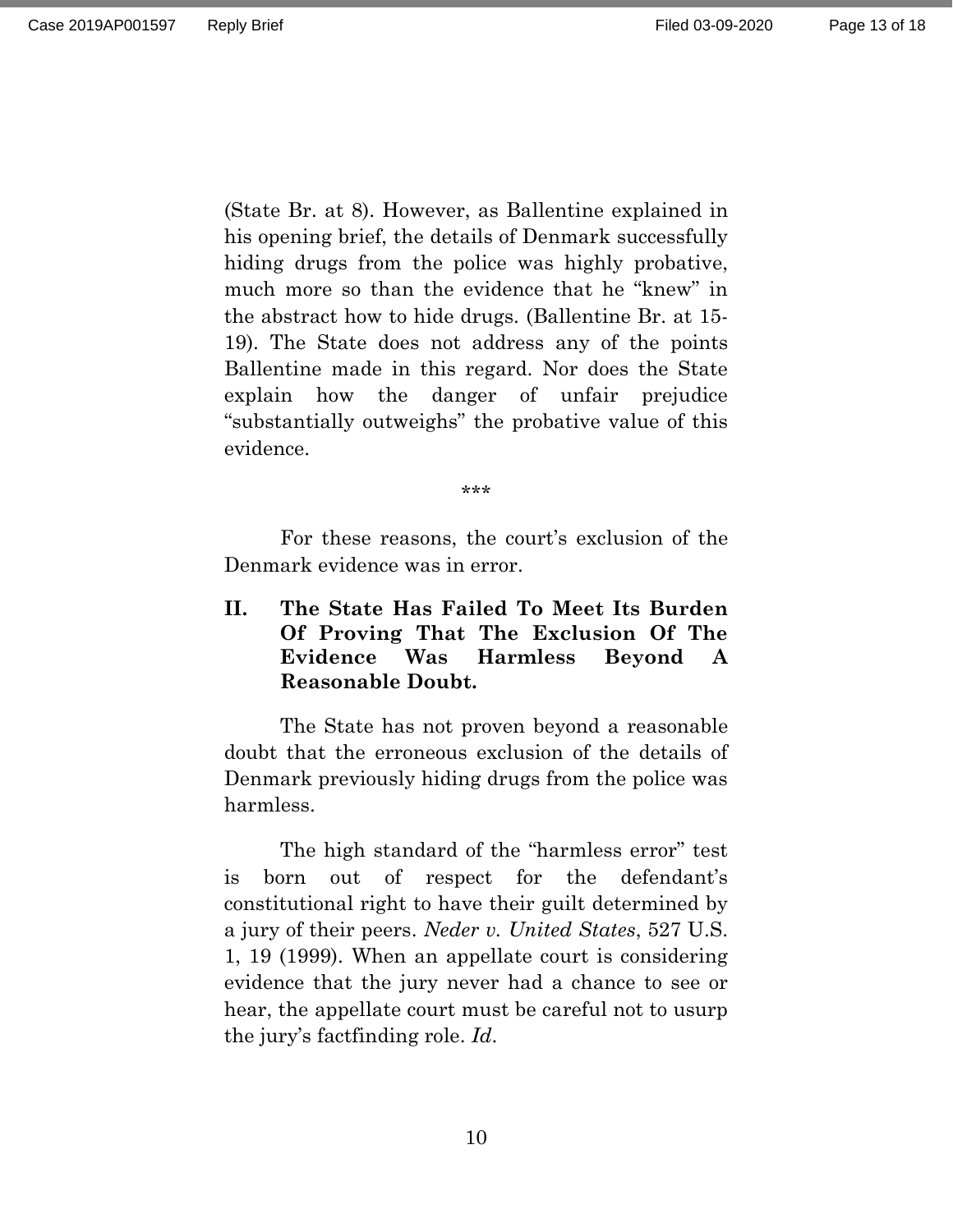Page 13 of 18

(State Br. at 8). However, as Ballentine explained in his opening brief, the details of Denmark successfully hiding drugs from the police was highly probative, much more so than the evidence that he "knew" in the abstract how to hide drugs. (Ballentine Br. at 15- 19). The State does not address any of the points Ballentine made in this regard. Nor does the State explain how the danger of unfair prejudice "substantially outweighs" the probative value of this evidence.

\*\*\*

For these reasons, the court's exclusion of the Denmark evidence was in error.

## <span id="page-12-0"></span>**II. The State Has Failed To Meet Its Burden Of Proving That The Exclusion Of The Evidence Was Harmless Beyond A Reasonable Doubt.**

The State has not proven beyond a reasonable doubt that the erroneous exclusion of the details of Denmark previously hiding drugs from the police was harmless.

The high standard of the "harmless error" test is born out of respect for the defendant's constitutional right to have their guilt determined by a jury of their peers. *Neder v. United States*, 527 U.S. 1, 19 (1999). When an appellate court is considering evidence that the jury never had a chance to see or hear, the appellate court must be careful not to usurp the jury's factfinding role. *Id*.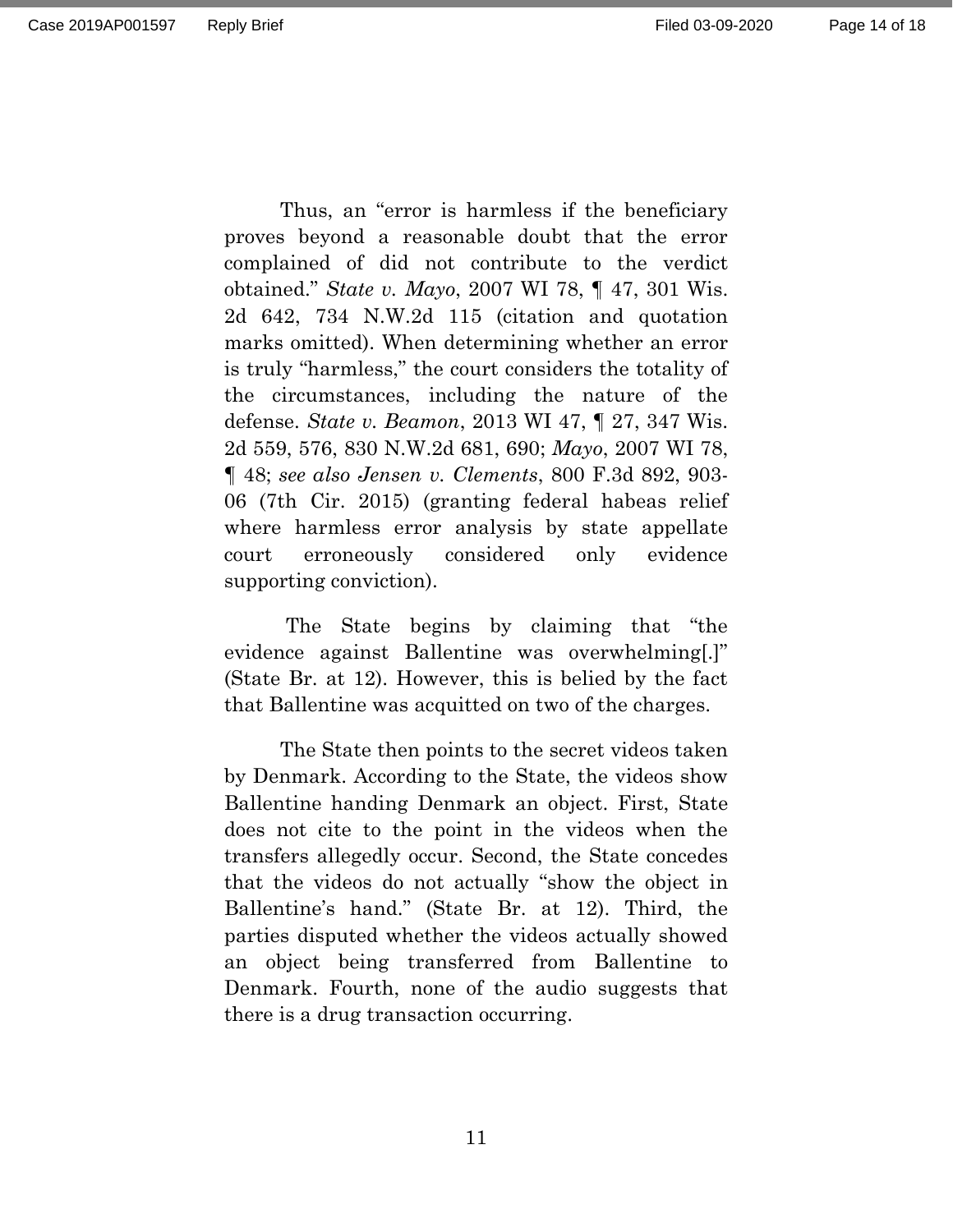Page 14 of 18

Thus, an "error is harmless if the beneficiary proves beyond a reasonable doubt that the error complained of did not contribute to the verdict obtained." *State v. Mayo*, 2007 WI 78, ¶ 47, 301 Wis. 2d 642, 734 N.W.2d 115 (citation and quotation marks omitted). When determining whether an error is truly "harmless," the court considers the totality of the circumstances, including the nature of the defense. *State v. Beamon*, 2013 WI 47, ¶ 27, 347 Wis. 2d 559, 576, 830 N.W.2d 681, 690; *Mayo*, 2007 WI 78, ¶ 48; *see also Jensen v. Clements*, 800 F.3d 892, 903- 06 (7th Cir. 2015) (granting federal habeas relief where harmless error analysis by state appellate court erroneously considered only evidence supporting conviction).

The State begins by claiming that "the evidence against Ballentine was overwhelming[.]" (State Br. at 12). However, this is belied by the fact that Ballentine was acquitted on two of the charges.

The State then points to the secret videos taken by Denmark. According to the State, the videos show Ballentine handing Denmark an object. First, State does not cite to the point in the videos when the transfers allegedly occur. Second, the State concedes that the videos do not actually "show the object in Ballentine's hand." (State Br. at 12). Third, the parties disputed whether the videos actually showed an object being transferred from Ballentine to Denmark. Fourth, none of the audio suggests that there is a drug transaction occurring.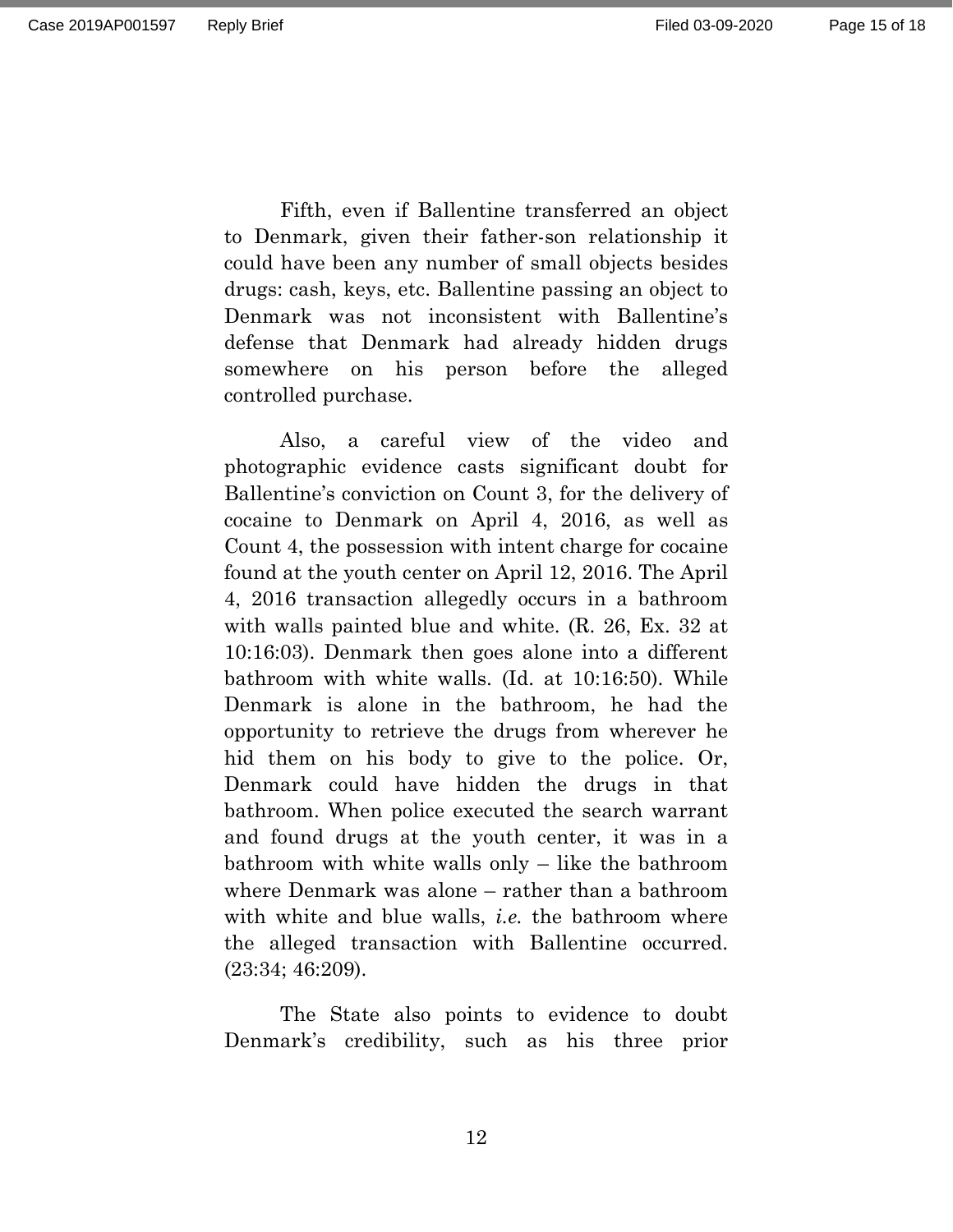Fifth, even if Ballentine transferred an object to Denmark, given their father-son relationship it could have been any number of small objects besides drugs: cash, keys, etc. Ballentine passing an object to Denmark was not inconsistent with Ballentine's defense that Denmark had already hidden drugs somewhere on his person before the alleged controlled purchase.

Also, a careful view of the video and photographic evidence casts significant doubt for Ballentine's conviction on Count 3, for the delivery of cocaine to Denmark on April 4, 2016, as well as Count 4, the possession with intent charge for cocaine found at the youth center on April 12, 2016. The April 4, 2016 transaction allegedly occurs in a bathroom with walls painted blue and white. (R. 26, Ex. 32 at 10:16:03). Denmark then goes alone into a different bathroom with white walls. (Id. at 10:16:50). While Denmark is alone in the bathroom, he had the opportunity to retrieve the drugs from wherever he hid them on his body to give to the police. Or, Denmark could have hidden the drugs in that bathroom. When police executed the search warrant and found drugs at the youth center, it was in a bathroom with white walls only – like the bathroom where Denmark was alone – rather than a bathroom with white and blue walls, *i.e.* the bathroom where the alleged transaction with Ballentine occurred. (23:34; 46:209).

The State also points to evidence to doubt Denmark's credibility, such as his three prior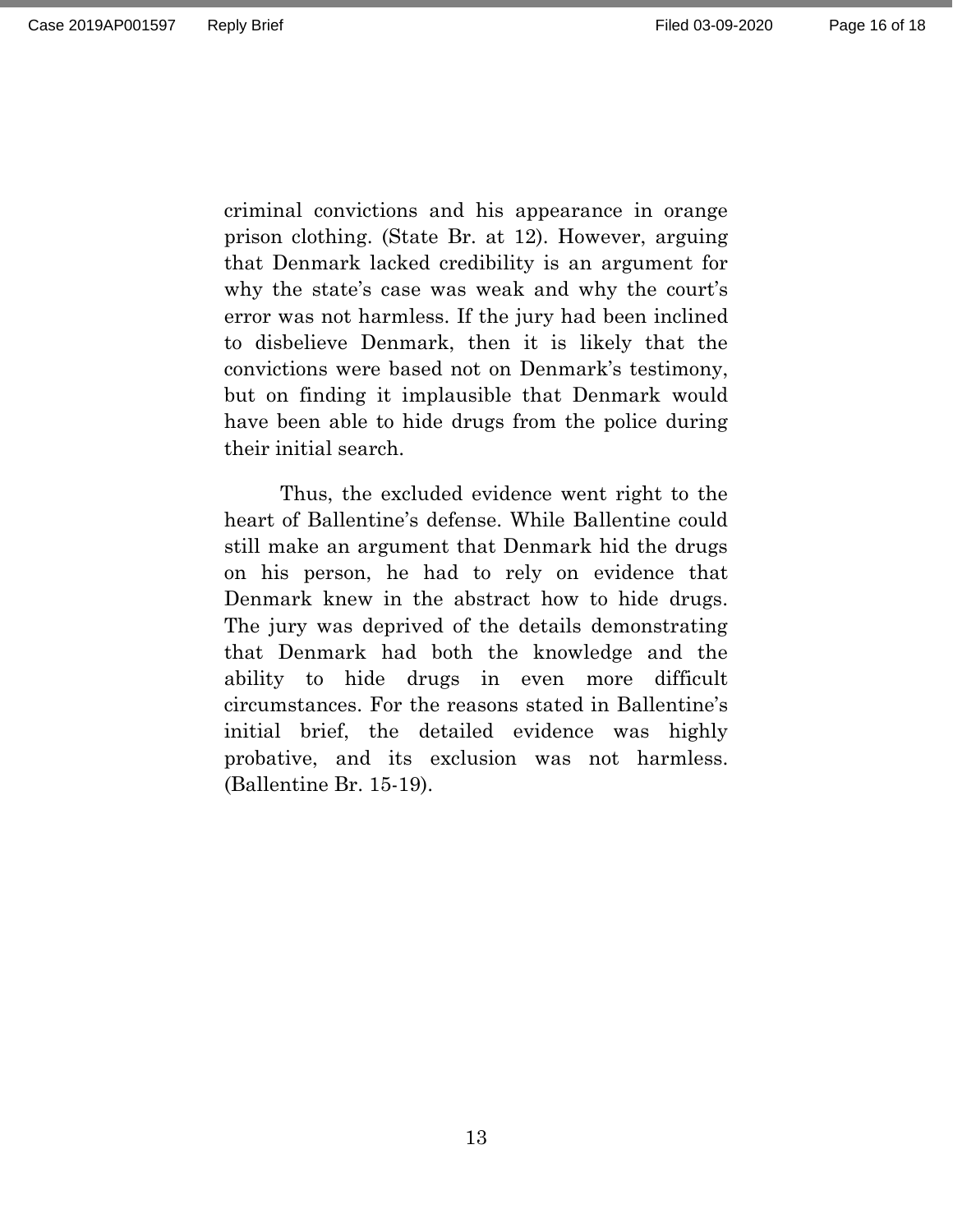criminal convictions and his appearance in orange prison clothing. (State Br. at 12). However, arguing that Denmark lacked credibility is an argument for why the state's case was weak and why the court's error was not harmless. If the jury had been inclined to disbelieve Denmark, then it is likely that the convictions were based not on Denmark's testimony, but on finding it implausible that Denmark would have been able to hide drugs from the police during their initial search.

Thus, the excluded evidence went right to the heart of Ballentine's defense. While Ballentine could still make an argument that Denmark hid the drugs on his person, he had to rely on evidence that Denmark knew in the abstract how to hide drugs. The jury was deprived of the details demonstrating that Denmark had both the knowledge and the ability to hide drugs in even more difficult circumstances. For the reasons stated in Ballentine's initial brief, the detailed evidence was highly probative, and its exclusion was not harmless. (Ballentine Br. 15-19).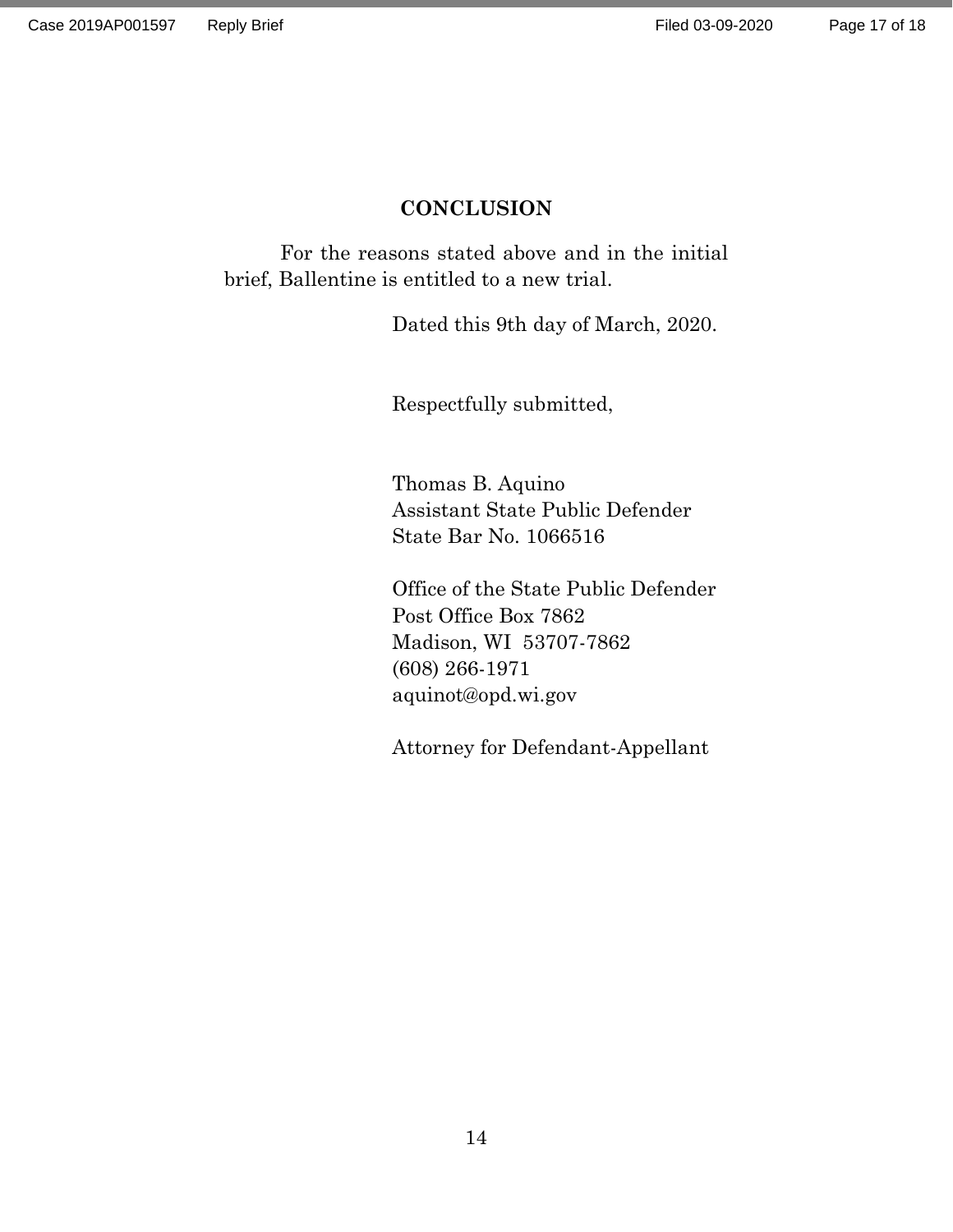## **CONCLUSION**

<span id="page-16-0"></span>For the reasons stated above and in the initial brief, Ballentine is entitled to a new trial.

Dated this 9th day of March, 2020.

Respectfully submitted,

Thomas B. Aquino Assistant State Public Defender State Bar No. 1066516

Office of the State Public Defender Post Office Box 7862 Madison, WI 53707-7862 (608) 266-1971 aquinot@opd.wi.gov

Attorney for Defendant-Appellant